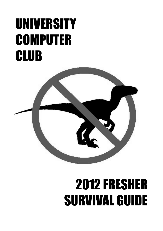# UNIVERSITY **COMPUTER CLUB**



# 2012 FRESHER SURVIVAL GUIDE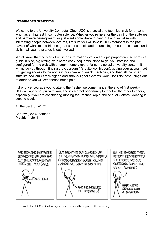# **President's Welcome**

Welcome to the University Computer Club! UCC is a social and technical club for anyone who has an interest in computer science. Whether you're here for the gaming, the software and hardware development, or just want somewhere to hang out and socialise with interesting people between lectures, I'm sure you will love it. UCC members in the past have left<sup>[1](#page-1-0)</sup> with lifelong friends, great stories to tell, and an amazing amount of contacts and skills – all you have to do is get involved!

We all know that the start of uni is an information overload of epic proportions, so here is a guide in nice, big writing, with some easy, sequential steps to get you installed and configured for the club with enough memory spare for some actual university content. It will guide you through finding the clubroom (it's quite well hidden), getting your account set up, getting access to the noms in our coke and snack machines, and then all the other stuff like how our carrier-pigeon and smoke-signal systems work. Don't do these things out of order or you will experience much pain.

I strongly encourage you to attend the fresher welcome night at the end of first week – UCC will apply hot pizza to you, and it's a great opportunity to meet all the other freshers, especially if you are considering running for Fresher Rep at the Annual General Meeting in second week.

All the best for 2012!

Andrew (Bob) Adamson President, 2011



<span id="page-1-0"></span>1 Or not left, as UCCans tend to stay members for a really long time after university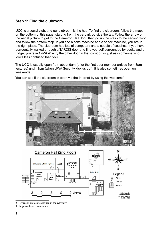# **Step 1: Find the clubroom**

UCC is a social club, and our clubroom is the hub. To find the clubroom, follow the maps on the bottom of this page, starting from the carpark outside the tav. Follow the arrow on the aerial picture to get to the Cameron Hall door, then go up the stairs to the second floor and follow the bottom map. If you see a coke machine and a snack machine, you are in the right place. The clubroom has lots of computers and a couple of couches. If you have accidentally walked through a TARDIS door and find yourself surrounded by books and a fridge, you're in UniSFA<sup>[2](#page-2-0)</sup> – try the other door in that corridor, or just ask someone who looks less confused than you.

The UCC is usually open from about 9am (after the first door member arrives from 8am lectures) until 11pm (when UWA Security kick us out). It is also sometimes open on weekends.



You can see if the clubroom is open via the Internet by using the webcams<sup>[3](#page-2-1)</sup>



<span id="page-2-0"></span><sup>2</sup> Words in italics are defined in the Glossary.

<span id="page-2-1"></span>3 http://webcam.ucc.asn.au/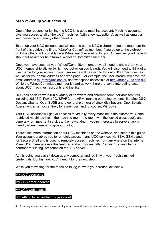### **Step 2: Set up your account**

One of the reasons for joining the UCC is to get a machine account. Machine accounts give you access to all of the UCC machines (with a few exceptions), as well as email, a web presence and many other benefits.

To set up your UCC account, you will need to go the UCC clubroom (see the map near the front of this guide) and find a *Wheel* or *Committee* member. If you go up to the clubroom on O'Day there will probably be a *Wheel* member waiting for you. Otherwise, you'll have to shout out asking for help from a Wheel or Committee member.

Once you have secured your Wheel/Committee member, you'll need to show them your UCC membership sticker (which you got when you joined). You will also need to think of a user name for your account. Your user name will be used to log onto UCC machines, as well as for your email address and web page. For example, the user *murphy* will have the email address [murphy@ucc.asn.au](mailto:murphy@ucc.asn.au) and webspace accessible at [http://muphy.ucc.asn.au/.](http://muphy.ucc.asn.au/) While the Wheel/Committee member is hard at work, here are some interesting facts about UCC machines, accounts and the like.

UCC has been know to run a variety of hardware and different computer architectures, including x86[-64], PowerPC, SPARC and ARM, running operating systems like Mac OS X, Debian, Ubuntu, OpenSUSE and a general plethora of Linux distributions, OpenSolaris, Acess (written almost entirely by a member) and, of course, Windows.

Your UCC account will get you access to virtually every machine in the clubroom<sup>[4](#page-3-0)</sup>. Some restricted machines live in the machine room (the room with the locked glass door), and generally run important services, like networking. If you're interested in servers, ask a friendly wheel member to give you a tour.

There's lots more information about UCC machines on the website, and later in this guide. Your account enables you to remotely access many UCC services via SSH. SSH stands for Secure Shell and is used to remotely access machines from anywhere on the internet. Many UCC members use this feature (and a program called "screen") to maintain a permanent "lurking" presence on the IRC server.

At this point, you can sit down at any computer and log in with your freshly minted credentials. Do this now, you'll need it for the next step.

While you're waiting for the machine to log in, write your credentials below.

#### My UCC username:

My UCC email address:

#### My UCC web space:

#### Something to remember my password:

<span id="page-3-0"></span><sup>4</sup> Assuming no-one has broken any user login stuff since this was written, which is not a particularly safe assumption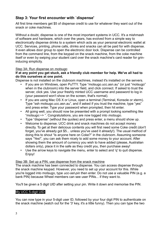# **Step 3: Your first encounter with `dispense'**

All first time members get \$5 of dispense credit to use for whatever they want out of the snack or coke machines.

Without a doubt, dispense is one of the most important systems in UCC. It's a mishmash of software and hardware, which over the years, has evolved from a simple way to electronically dispense drinks to a system which acts as your personal electronic wallet at UCC. Services, printing, phone calls, drinks and snacks can all be paid for with dispense. It even allows door group to open the electronic door lock. Dispense can be controlled from the command line, from the keypad on the snack machine, from the coke machine itself or even by swiping your student card over the snack machine's card reader for grininducing simplicity.

#### Step 3A: Run dispense on *motsugo*

#### **If at any point you get stuck, ask a friendly club member for help. We've all had to do this ourselves at one point.**

Dispense is not installed on the clubroom machines, instead it's installed on the servers.

- If you are on Windows, open PuTTY. Type "motsugo.ucc.asn.au" (or just "motsugo" when in the clubroom) into the server field, and click connect. If asked to trust the server, click yes. Use your freshly minted UCC username and password to log in (your password won't show on the screen, that's normal).
- If you are using Mac OS X or Linux, open a terminal (Terminal, Konsole or xterm). Type "ssh motsugo.ucc.asn.au", and if asked if you trust the machine, type "yes" and press enter. Type your password when prompted, then hit enter.
- All going well, you should now be presented with a prompt looking something like "motsugo:~> ". Congratulations, you are now logged into *motsugo*.
- Type "dispense" (without the quotes) and press enter, a menu should show up.
- Welcome to dispense. UCC drink and snack machines do not accept money directly. To get at their delicious contents you will first need some Coke credit (don't forget, you've already got \$5... unless you've used it already!). The usual method of doing this to shout "Is anyone here on Coke?" in the clubroom. Assuming someone says "Yes!", you can ask them nicely to add some money to your account. After showing them the amount of currency you wish to have added (please, Australian dollars only), place it in the safe as they credit you, then purchase away!
- Use the arrow keys to navigate the menu, enter to select and 'q' to quit dispense. Enjoy!

#### Step 3B: Set up a PIN, use dispense from the snack machine

The snack machine has been connected to dispense. You can access dispense through the snack machine keypad. However, you need to set up your account for this. While you're logged into motsugo, type *ucc-set-pin* then enter. Do not use a valuable PIN (e.g. a bank PIN) because Wheel members can see user PINs... if they want to.

You'll be given a 5 digit UID after setting your pin. Write it down and memorise the PIN.

#### My UCC 5-digit UID:

You can now type in your 5-digit user ID, followed by your four digit PIN to authenticate on the snack machine (watch out for the '3' key, it's a little funny). Then you can type the two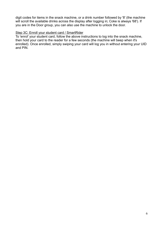digit codes for items in the snack machine, or a drink number followed by '8' (the machine will scroll the available drinks across the display after logging in; Coke is always '68'). If you are in the Door group, you can also use the machine to unlock the door.

#### Step 3C: Enroll your student card / SmartRider

To 'enrol' your student card, follow the above instructions to log into the snack machine, then hold your card to the reader for a few seconds (the machine will beep when it's enrolled). Once enrolled, simply swiping your card will log you in without entering your UID and PIN.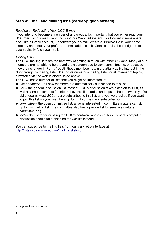# **Step 4: Email and mailing lists (carrier-pigeon system)**

#### *Reading or Redirecting Your UCC E-mail*

If you intend to become a member of any groups, it's important that you either read your UCC mail using a mail client (including our Webmail system<sup>[5](#page-6-0)</sup>), or forward it somewhere else (like a Gmail account). To forward your e-mail, create a *.forward* file in your home directory and enter your preferred e-mail address in it. Gmail can also be configured to automagically fetch your mail.

#### *Mailing Lists*

The UCC mailing lists are the best way of getting in touch with other UCCans. Many of our members are not able to be around the clubroom due to work commitments, or because they are no longer in Perth. Yet still these members retain a partially active interest in the club through its mailing lists. UCC hosts numerous mailing lists, for all manner of topics, browsable via the web interface listed above.

The UCC has a number of lists that you might be interested in:

- *ucc-announce* all new members are automatically subscribed to this list
- *ucc* the general discussion list, most of UCC's discussion takes place on this list, as well as announcements for informal events like parties and trips to the pub (when you're old enough). Most UCCans are subscribed to this list, and you were asked if you want to join this list on your membership form. If you said no, subscribe now.
- *committee* the open committee list, anyone interested in committee matters can sign up to this mailing list. The committee also has a private list for sensitive matters: *committee-only*.
- *tech* the list for discussing the UCC's hardware and computers. General computer discussion should take place on the *ucc* list instead.

You can subscribe to mailing lists from our very retro interface at <http://lists.ucc.gu.uwa.edu.au/mailman/listinfo>

<span id="page-6-0"></span><sup>5</sup> http://webmail.ucc.asn.au/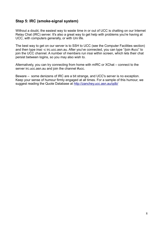# **Step 5: IRC (smoke-signal system)**

Without a doubt, the easiest way to waste time in or out of UCC is chatting on our Internet Relay Chat (IRC) server. It's also a great way to get help with problems you're having at UCC, with computers generally, or with Uni life.

The best way to get on our server is to SSH to UCC (see the Computer Facilities section) and then type irssi -c irc.ucc.asn.au. After you've connected, you can type "/join #ucc" to join the UCC channel. A number of members run irssi within screen, which lets their chat persist between logins, so you may also wish to.

Alternatively, you can try connecting from home with mIRC or XChat – connect to the server irc.ucc.asn.au and join the channel #ucc.

Beware – some denizens of IRC are a bit strange, and UCC's server is no exception. Keep your sense of humour firmly engaged at all times. For a sample of this humour, we suggest reading the Quote Database at<http://zanchey.ucc.asn.au/qdb/>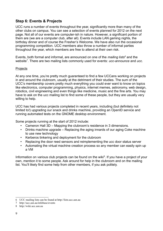# **Step 6: Events & Projects**

UCC runs a number of events throughout the year, significantly more than many of the other clubs on campus. You can see a selection of events planned for 2012 on the next page. Not all of our events are computer-ish in nature. However, a significant portion of them are (we are a computer club, after all). Events include LAN gaming nights, the birthday dinner and of course the Fresher's Welcome. We have also run the occasional programming competition. UCC members also throw a number of informal parties throughout the year, which members are free to attend at their own risk.

Events, both formal and informal, are announced on one of the *mailing lists[6](#page-8-0)* and the website<sup>[7](#page-8-1)</sup>. There are two mailing lists commonly used for events: *ucc-announce* and *ucc*.

#### **Projects**

At any one time, you're pretty much guaranteed to find a few UCCans working on projects in and around the clubroom, usually at the detriment of their studies. The sum of the UCC's membership covers pretty much everything you could ever want to know on topics like electronics, computer programming, physics, internet memes, astronomy, web design, robotics, civil engineering and even things like medicine, music and the fine arts. You may have to ask on the ucc mailing list to find some of these people, but they are usually very willing to help.

UCC has had various projects completed in recent years, including (but definitely not limited to!) upgrading our snack and drinks machine, providing an OpenID service and running automated tests on the GNOME desktop environment.

Some projects running at the start of 2012 include:

- Cameron Hall 3D Mapping the clubroom's residence in 3 dimensions.
- Drinks machine upgrade Replacing the aging innards of our aging Coke machine to use new technology
- Kerberos tinkering and deployment for the clubroom
- Replacing the door reed sensors and reimplementing the ucc door status server
- Automating the virtual machine creation process so any member can easily spin up a VM

Information on various club projects can be found on the wiki $<sup>8</sup>$  $<sup>8</sup>$  $<sup>8</sup>$ . If you have a project of your</sup> own, mention it to some people. Ask around for help in the clubroom and on the mailing list. You'll likely find some help from other members, if you ask politely.

<span id="page-8-0"></span><sup>6</sup> UCC mailing lists can be found at http://lists.ucc.asn.au

<span id="page-8-1"></span><sup>7</sup> http://ucc.asn.au/infobase/events

<span id="page-8-2"></span><sup>8</sup> http://wiki.ucc.asn.au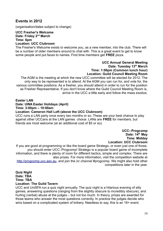## **Events in 2012**

(organisation/dates subject to change)

#### **UCC Fresher's Welcome Date: Friday 2nd March Time: 6pm**

#### **Location: UCC Clubroom**

The Fresher's Welcome exists to welcome you, as a new member, into the club. There will be a number of older members around to chat with. This is a great event to get to know some people and put faces to names. First time members get **FREE** pizza.

#### **UCC Annual General Meeting Date: Tuesday 13th March Time: 1:00pm (Common lunch hour) Location: Guild Council Meeting Room**

The AGM is the meeting at which the new UCC committee will be elected for 2012. The only way to be represented is to attend. At the AGM you can run for, and vote for, the various committee positions. As a fresher, you should attend in order to run for the position as Fresher Representative. If you don't know where the Guild Council Meeting Room is, arrive in the UCC a little early and follow the mass exodus.

#### **Easter LAN**

#### **Date: UWA Easter Holidays (April)**

**Time: 3:00pm – 10:00am**

#### **Location: Cameron Hall Loft (above the UCC Clubroom)**

UCC runs a LAN party once every two months or so. These are your best chance to play against other UCCans at the LAN games choice. LANs are **FREE** for members, but friends are most welcome (at an additional cost of \$5 or so).

> **UCC::Progcomp Date: 14th May Time: Midday Location: UCC Clubroom**

If you are good at programming or like the board game Stratego, or even just one of those, you should enter UCC::Progcomp! Stratego is a popular board game of incomplete information, and there is plenty of room for different tactics, simple and complex. There are also prizes. For more information, visit the competition website at [http://progcomp.ucc.asn.au,](http://progcomp.ucc.asn.au/) and join the *irc channel* #progcomp. We might also hold other competitions later in the year.

**Quiz Night Date: TBA Time: TBA**

#### **Location: The Guild Tavern**

UCC and UniSFA run a quiz night annually. The quiz night is a hilarious evening of silly games, answering questions (ranging from the slightly obscure to incredibly obscure), and hurling (verbal) abuse at the judges – but not too much. In theory, prizes are awarded for those teams who answer the most questions correctly. In practice the judges decide who wins based on a complicated system of bribery. Needless to say, this is an 18+ event.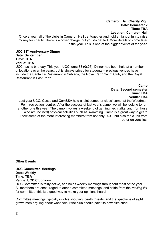Once a year, all of the clubs in Cameron Hall get together and hold a night of fun to raise money for charity. There is a cover charge, but you do get fed. More details to come later in the year. This is one of the bigger events of the year.

#### **UCC 38th Anniversary Dinner Date: September Time: TBA Venue: TBA**

UCC has its birthday. This year, UCC turns 38 (0x26). Dinner has been held at a number of locations over the years, but is always priced for students – previous venues have include the Santa Fe Restaurant in Subiaco, the Royal Perth Yacht Club, and the Royal Restaurant in East Perth.

> **Camp Date: Second semester Time: TBA Venue: TBA**

Last year UCC, Cassa and ComSSA held a joint computer clubs' camp, at the Woodman Point recreation centre. After the success of last year's camp, we will be looking to run another one this year. The camp involves a weekend of gaming, tech talks, and (for those who are inclined) physical activities such as swimming. Camp is a great way to get to know some of the more interesting members from not only UCC, but also the clubs from other universities.

**Other Events**

**UCC Committee Meetings Date: Weekly Time: TBA Venue: UCC Clubroom**

UCC Committee is fairly active, and holds weekly meetings throughout most of the year. All members are encouraged to attend committee meetings, and aside from the *mailing list* for committee, this is a good way to make your opinions heard.

Committee meetings typically involve shouting, death threats, and the spectacle of eight grown men arguing about what colour the club should paint its new bike shed.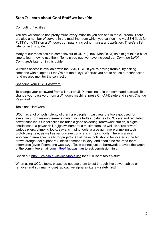# **Step 7: Learn about Cool Stuff we have/do**

#### Computing Facilities

You are welcome to use pretty much every machine you can see in the clubroom. There are also a number of servers in the machine room which you can log into via SSH (look for PuTTY or KiTTY on a Windows computer), including *mussel* and *motsugo*. There's a list later on in this guide.

Many of our machines run some flavour of UNIX (Linux, Mac OS X) so it might take a bit of time to learn how to use them. To help you out, we have included our *Common UNIX Commands* later on in this guide.

Wireless access is available with the SSID UCC. If you're having trouble, try asking someone with a laptop (if they're not too busy). We trust you not to abuse our connection (and we also monitor the connection).

#### Changing Your UCC Password

To change your password from a Linux or UNIX machine, use the command passwd. To change your password from a Windows machine, press Ctrl-Alt-Delete and select Change Password.

#### Tools and Hardware

UCC has a lot of tools (plenty of them are people!). Last year the tools got used for everything from making teenage mutant ninja turtles costumes to RC cars and regulated power supplies. Our collection includes a good soldering iron/rework station, a digital oscilloscope, a power drill, a jigsaw, numerous multimeters, as well as screwdrivers, various pliers, crimping tools, saws, crimping tools, a glue gun, more crimpling tools, prototyping gear, as well as various electronic and crimping tools. There is also a workbench area specifically for projects. All of these tools should be located in the big brown/orange tool cupboard (unless someone is lazy) and should be returned there afterwards (even if someone was lazy). Tools cannot just be borrowed; to avoid the wrath of the committee email [committee@ucc.asn.au](mailto:committee@ucc.asn.au) to ask permission first.

Check out<http://ucc.asn.au/sevices/tools.ucc>for a full list of tools'n'stuff.

When using UCC's tools, please do not use them to cut through live power cables or remove (and summarily lose) radioactive alpha emitters – safety first!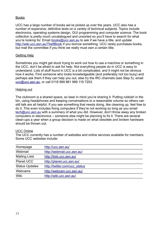#### Books

UCC has a large number of books we've picked up over the years. UCC also has a number of expensive, definitive texts on a variety of technical subjects. Topics include electronics, operating systems design, GUI programming and computer science. The book collection is pretty much uncatalogued and unsorted so you'll have to search for what you're looking for. Email [books@ucc.asn.au](mailto:books@ucc.asn.au) to ask if we have a title, and update <http://wiki.ucc.asn.au/TheftBook>if you borrow something. UCC rarely purchases books, but mail the committee if you think we really must own a certain title.

#### Getting Help

Sometimes you might get stuck trying to work out how to use a machine or something in the UCC, don't be afraid to ask for help. Not everything people do in UCC is easy to understand. Lots of stuff found in UCC is a bit complicated, and it might not be obvious how it works. Find someone who looks knowledgeable (and preferably not too busy) and perhaps ask them if they can help you out, else try the IRC channels (see Step 5), email [ucc@ucc.asn.au,](mailto:ucc@ucc.asn.au) or call 0118 999 881 999 119 7253.

#### Helping out

The clubroom is a shared space, so bear in mind you're sharing it. Putting rubbish in the bin, using headphones and keeping conversations to a reasonable volume so others can still talk are all helpful. If you see something that needs doing, like cleaning up, feel free to do it. This even includes fixing computers if they're not working so long as you email [tech@ucc.asn.au](mailto:tech@ucc.asn.au) with a summary of what you did. However, don't throw away any broken computers or electronics – someone else might be planning to fix it. There are several clean-ups a year when a group decision is made on what obsolete and broken hardware should be thrown out.

#### UCC Online

The UCC currently has a number of websites and online services available for members. Some UCC websites include:

| Homepage              | http://ucc.asn.au/            |
|-----------------------|-------------------------------|
| Webmail               | http://webmail.ucc.asn.au/    |
| <b>Mailing Lists</b>  | http://lists.ucc.asn.au/      |
| <b>Planet UCC</b>     | http://planet.ucc.asn.au/     |
| <b>Status Updates</b> | http://twitter.com/ucc_status |
| Webcams               | http://webcam.ucc.asn.au/     |
| Wiki                  | http://wiki.ucc.asn.au/       |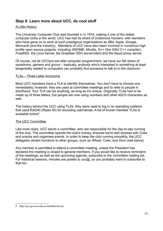# **Step 8: Learn more about UCC, do cool stuff**

#### A Little History

The University Computer Club was founded in in 1974, making it one of the oldest computer clubs in the world. UCC has had its share of (in)famous hackers, with members who have gone on to work at such prestigious organisations as IBM, Apple, Google, Microsoft (and the industry). Members of UCC have also been involved in numerous high profile open source projects, including *GNOME*, *Mozilla*, G++ (the *GNU* C++ compiler), *FreeBSD,* the *Linux* kernel, the Dropbear SSH server/client and the Squid proxy server.

Of course, not all *UCCans* are elite computer programmers: we have our fair share of sysadmins, gamers and *goons* – basically, anybody who's interested in something at least tangentially related to computers can probably find someone to talk to in the clubroom.

#### TLAs – Three Letter Acronyms

Most UCC members have a TLA to identify themselves. You don't have to choose one immediately; however, they are used at committee meetings and to refer to people in shorthand. Your TLA can be anything, as long as it's unique. Originally, TLAs had to be made up of three letters, but people are now using numbers and other ASCII characters as well.

The history behind the UCC using TLAs: they were used to log in on operating systems that used RAD40 (Radix 40) for encoding usernames. A list of known member TLAs is available online<sup>[9](#page-13-0)</sup>.

#### The UCC Committee

Like most clubs, UCC elects a committee, who are responsible for the day-to-day running of the club. The committee spends the club's money, ensures we're well stocked with Coke and snacks and organises events. In order to keep the club running smoothly, the UCC delegates certain functions to other groups, such as *Wheel*, *Coke*, and *Door* (see below).

Any member is permitted to attend a committee meeting, unless the President has declared the meeting is closed to general members. If you would like to receive reminders of the meetings, as well as the upcoming agenda, subscribe to the *committee* mailing list. For historical reasons, minutes are posted to *ucc@*, so you probably want to subscribe to that too.

<span id="page-13-0"></span><sup>9</sup> http://ucc.gu.uwa.edu.au/member/tla.ucc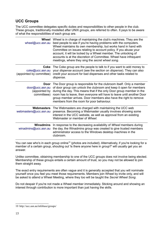# **UCC Groups**

The UCC committee delegates specific duties and responsibilities to other people in the club. These groups, traditionally modelled after UNIX groups, are referred to often. It pays to be aware of what the responsibilities of each group are.

| <b>Wheel</b><br>wheel@ucc.asn.au                               | Wheel is in charge of maintaining the club's machines. They are the<br>best people to see if you're having problems with the computers.<br>Wheel maintains its own membership, but works hand in hand with<br>Committee on issues relating to account policy. If you abuse your<br>account, it will be locked by a Wheel member. The unlocking of<br>accounts is at the discretion of Committee. Wheel have infrequent<br>meetings, where they sing the secret wheel song. |
|----------------------------------------------------------------|----------------------------------------------------------------------------------------------------------------------------------------------------------------------------------------------------------------------------------------------------------------------------------------------------------------------------------------------------------------------------------------------------------------------------------------------------------------------------|
| <b>Coke</b><br>coke@ucc.asn.au<br>(appointed by committee)     | The Coke group are the people to talk to if you want to add money to<br>your dispense account (see the section on dispense). They can also<br>credit your account for bad dispenses and other tasks related to<br>dispense.                                                                                                                                                                                                                                                |
| <b>Door</b><br>door@ucc.asn.au<br>(appointed by<br>committeee) | The Door group is responsible for the clubroom itself. Only a member<br>of door group can unlock the clubroom and keep it open for members<br>during the day. This means that if the only Door group member in the<br>room has to leave, then everyone will have to leave until another Door<br>group member arrives. Door members also have the right to remove<br>members from the room for poor behaviour.                                                              |
| <b>Webmasters</b><br>webmasters@ucc.asn.au                     | The Webmasters are charged with maintaining the UCC web<br>presence. Becoming a Webmaster usually involves showing some<br>interest in the UCC website, as well as approval from an existing<br>Webmaster or member of Wheel.                                                                                                                                                                                                                                              |
| <b>Winadmins</b><br>winadmins@ucc.asn.au                       | In response to the decreasing availability of Wheel members during<br>the day, the Winadmins group was created to give trusted members<br>administrator access to the Windows desktop machines in the<br>clubroom.                                                                                                                                                                                                                                                         |

You can see who's in each group online<sup>[10](#page-14-0)</sup> (photos are included). Alternatively, if you're looking for a member of a certain group, shouting out 'is there anyone here in *group*?' will usually get you an answer.

Unlike committee, obtaining membership to one of the UCC groups does not involve being elected. Membership of these groups entails a certain amount of trust, so you may not be allowed to join them straight away.

The exact entry requirements are often vague and it is generally accepted that you will nominate yourself once you feel you meet those requirements. Members join Wheel by invite only, and will be asked to attend a Wheel Meeting, where they too will be taught the *Secret Wheel Song*.

Do not despair if you're not made a Wheel member immediately. Sticking around and showing an interest through contribution is more important than just having the skills.

<span id="page-14-0"></span><sup>10</sup> http://ucc.asn.au/infobase/groups/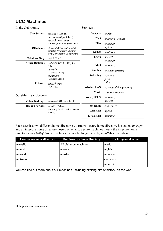# **UCC Machines**

| In the clubroom       |                                                                                                          | Services            |                             |
|-----------------------|----------------------------------------------------------------------------------------------------------|---------------------|-----------------------------|
| <b>User Servers</b>   | motsugo (Debian)<br><i>musundo</i> (OpenSolaris)<br>mussel (Xen/Debian)<br>maaxen (Windows Server '08)   | <b>Dispense</b>     | merlo                       |
|                       |                                                                                                          | <b>DNS</b>          | <i>mooneye</i> (Debian)     |
|                       |                                                                                                          | <b>Files</b>        | motsugo                     |
| <b>Oligoboots</b>     | characid (Windows/Ubuntu)<br>combtail (Windows/Ubuntu)<br>cichlid (Windows/Ubunununtu)                   |                     | mylah                       |
|                       |                                                                                                          | Games               | heathred                    |
| <b>Windows Only</b>   | catfish (Win 7)                                                                                          | Login               | mussel                      |
|                       | <i>red</i> (SPARC Ultra IIIi, Sun<br>OS)<br>caeruleus<br>(Diskless LTSP)<br>crenicara<br>(Diskless LTSP) |                     | motsugo                     |
| <b>Other Desktops</b> |                                                                                                          | Mail                | mooneye                     |
|                       |                                                                                                          | <b>Routing</b>      | <i>murasoi</i> (Debian)     |
|                       |                                                                                                          | Switching           | coconut                     |
|                       |                                                                                                          |                     | palm                        |
| <b>Printers</b>       | phosphorus<br>(HP 1320)                                                                                  |                     | olive                       |
|                       |                                                                                                          | <b>Wireless LAN</b> | <i>coromandel</i> (OpenWRT) |
| Outside the clubroom  |                                                                                                          | <b>Music</b>        | <i>robotnik</i> (Ubuntu)    |
|                       |                                                                                                          | Web (HTTP)          | mooneye                     |
| <b>Other Desktops</b> | <i>chaenopsis</i> (Diskless LTSP)                                                                        |                     | mussel                      |
| <b>Backup Servers</b> | <i>molltiz</i> (Debian)<br>(currently located in the Faculty<br>of Arts)                                 | Webcams             | camwhore                    |
|                       |                                                                                                          | <b>Xen Host</b>     | mylah                       |
|                       |                                                                                                          | <b>KVM Host</b>     | motsugo                     |

Each user has two different home directories, a (more) secure home directory hosted on *motsugo* and an insecure home directory hosted on *mylah*. Secure machines mount the insecure home directories as /away. Some machines can not be logged into by non-Wheel members.

| <b>Uses secure home directory</b> | <b>Uses insecure home directory</b> | Not for general access |
|-----------------------------------|-------------------------------------|------------------------|
| martello                          | All clubroom machines               | merlo                  |
| mussel                            | meersau                             | mylah                  |
| musundo                           | musdea                              | mooneye                |
| motsugo                           |                                     | camwhore               |
|                                   |                                     | murasoi                |

You can find out more about our machines, including exciting bits of history, on the web<sup>[11](#page-15-0)</sup>.

<span id="page-15-0"></span><sup>11</sup> http://ucc.asn.au/machines/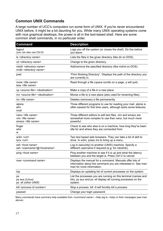# **Common UNIX Commands**

A large number of UCC's computers run some form of UNIX. If you're never encountered UNIX before, it might be a bit daunting for you. While many UNIX operating systems come with nice graphical desktops, the power is all in the text-based shell. Here are some common shell commands, in no particular order.

| <b>Command</b>                                                                           | <b>Description</b>                                                                                                                                    |
|------------------------------------------------------------------------------------------|-------------------------------------------------------------------------------------------------------------------------------------------------------|
| logout<br>(you can also use Ctrl-D)                                                      | Logs you off the system (or closes the shell). Do this before<br>you leave.                                                                           |
| Is <directory name=""></directory>                                                       | Lists the files in the given directory (like dir on DOS).                                                                                             |
| cd <directory name=""></directory>                                                       | Change to the given directory.                                                                                                                        |
| mkdir <directory name=""><br/>rmdir <directory name=""></directory></directory>          | Add/remove the specified directory (like md/rd on DOS).                                                                                               |
| pwd                                                                                      | "Print Working Directory". Displays the path of the directory you<br>are currently in.                                                                |
| more <file name=""><br/>less <file name=""></file></file>                                | Read through a file (space scrolls on a page, q will quit).                                                                                           |
| cp <source file=""/> <destination></destination>                                         | Make a copy of a file in a new place.                                                                                                                 |
| my <source file=""/> <destination></destination>                                         | Moves a file to a new place (also used for renaming files).                                                                                           |
| $rm$ <file name=""></file>                                                               | Deletes (removes) a file permanently.                                                                                                                 |
| alpine<br>elm<br>mutt                                                                    | Three different programs to use for reading your mail. alpine is<br>often easiest for first time users, although lacks some features.                 |
| nano <file name=""><br/>vim <file name=""><br/>emacs <file name=""></file></file></file> | Three different editors to edit text files. vim and emacs are<br>somewhat more complex to use than nano, but much more<br>powerful.                   |
| finger<br>who<br>w                                                                       | Check to see who else is on a machine, how long they've been<br>idle for and where they are connected from.                                           |
| w3m < <i>url</i><br>$lynx url$                                                           | Two text based web browsers. They can take a bit of skill to<br>drive. In w3m, press Ins to bring up a menu.                                          |
| ssh <host name=""><br/>ssh <username>@<hostname></hostname></username></host>            | Log in (securely) to another (UNIX) machine. Specify a<br>different username if required (e.g. for robotnik).                                         |
| ping <host name=""></host>                                                               | Ping another machine to see if it is up and what the latency<br>between you and the target is. Press Ctrl-C to cancel.                                |
| man <command name=""/>                                                                   | Displays the manual for a command. Manuals offer lots of<br>information about the command you are interested in. See man<br>man for more information. |
| top                                                                                      | Displays an updating list of current processes on the system.                                                                                         |
| ps<br>ps aux (Linux)<br>ps -ef (other UNIX)                                              | List the processes you are running on this terminal (names and<br>ids). ps aux and ps - ef display all running processes on the<br>system.            |
| kill <process id="" number=""></process>                                                 | Stop a process. kill -9 will forcibly kill a process.                                                                                                 |
| passwd                                                                                   | Change your login password.                                                                                                                           |

Many commands have summary help available from *<command name>* --help (eg ls --help) or their *man*pages (see man above).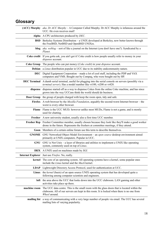# **Glossary**

|                                                                                                       | (ACC) Murphy aka. Dr ACC Murphy - A Computer Called Murphy. Dr ACC Murphy is infamous around the<br>UCC. He even receives mail!                                                                            |
|-------------------------------------------------------------------------------------------------------|------------------------------------------------------------------------------------------------------------------------------------------------------------------------------------------------------------|
|                                                                                                       | Alpha A CPU architecture produced by DEC.                                                                                                                                                                  |
|                                                                                                       | <b>BSD</b> Berkeley Systems Distribution – a UNIX developed at Berkeley, now better known through<br>the FreeBSD, NetBSD and OpenBSD UNIXes.                                                               |
|                                                                                                       | <b>blog</b> aka. weblog – sort of like a journal on the Internet (you don't have one?). Syndicated by a<br>Planet.                                                                                         |
|                                                                                                       | Coke credit If you gotta ask, you ain't got it! Coke credit is how people usually refer to money in your<br>dispense account.                                                                              |
|                                                                                                       | Coke Group The people who can put money (Coke credit) in your dispense account.                                                                                                                            |
|                                                                                                       | <b>Debian</b> a <i>Linux</i> distribution popular in UCC due to its stability and community nature.                                                                                                        |
|                                                                                                       | <b>DEC</b> Digital Equipment Corporation – made a lot of cool stuff, including the PDP and VAX<br>computers and VMS. Bought out by Compaq, who were bought out by HP.                                      |
|                                                                                                       | <b>DEC Terminal</b> A dumb serial terminal, useful for plugging into the serial console on servers (possibly via a<br>terminal server). Has a model number like vt100, vt200 or vt420.                     |
|                                                                                                       | dispense dispense started off as a way to dispense Cokes from the online Coke machine, and has since<br>grown into the way UCCans think the world should do business.                                      |
|                                                                                                       | <b>Door Group</b> the group of people charged with keep the room open, tidy and safe.                                                                                                                      |
|                                                                                                       | Firefox A web browser by the <i>Mozilla Foundation</i> , arguably the second-worst Internet browser – the<br>worst is every other browser.                                                                 |
|                                                                                                       | <b>Flame</b> Flame is the UCC MUD; however unlike most MUDs, Flame is not a game, and is mostly<br>used for chatting.                                                                                      |
|                                                                                                       | Fresher A new university student, usually also a first time UCC member.                                                                                                                                    |
|                                                                                                       | Fresher Rep Fresher Committee member, usually chosen because they look like they'll make a good worker<br>drone in the future. Represents the freshers at committee meetings, if they attend.              |
|                                                                                                       | Goon Members of a certain online forum use this term to describe themselves.                                                                                                                               |
|                                                                                                       | <b>GNOME</b> GNU Networked Object Model Environment – an open source desktop environment aimed<br>primarily at UNIX computers. Popular in UCC.                                                             |
|                                                                                                       | <b>GNU</b> GNU is Not Unix – a layer of libraries and utilities to implement a UNIX like operating<br>system, commonly used on top of Linux.                                                               |
|                                                                                                       | <b>IRIX</b> A UNIX used on machines made by SGI.                                                                                                                                                           |
|                                                                                                       | <b>Internet Explorer</b> Just use <i>Firefox</i> . No, really.                                                                                                                                             |
|                                                                                                       | kernel The core of an operating system. All operating systems have a kernel, some popular ones<br>include the Linux kernel and the Mach kernel.                                                            |
|                                                                                                       | LDAP Lightweight Directory Access Protocol, used for authentication at UCC.                                                                                                                                |
|                                                                                                       | Linux the kernel (basis) of an open source UNIX operating system that has developed quite a<br>following among computer scientists and engineers.                                                          |
|                                                                                                       | <b>loft</b> the area above the UCC that looks down into the UCC clubroom. LAN gaming and other<br>activities take place up there.                                                                          |
| machine room                                                                                          | The UCC data centre. This is the small room with the glass doors that is located within the<br>clubroom. All of our servers are kept in this room. It is locked when there is no one from<br>Wheel around. |
| mailing list a way of communicating with a very large number of people via email. The UCC has several |                                                                                                                                                                                                            |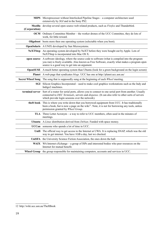|                          | MIPS Microprocessor without Interlocked Pipeline Stages - a computer architecture used<br>extensively by SGI and in the Sony PS2.                                                                                                                      |
|--------------------------|--------------------------------------------------------------------------------------------------------------------------------------------------------------------------------------------------------------------------------------------------------|
| Mozilla<br>(Corporation) | develop several open source web related products, such as Firefox and Thunderbird.                                                                                                                                                                     |
|                          | <b>OCM</b> Ordinary Committee Member – the worker drones of the UCC Committee, they do lots of<br>work, for little reward.                                                                                                                             |
|                          | <b>Oligoboot</b> boots more then one operating system (selectable when you boot).                                                                                                                                                                      |
|                          | <b>OpenSolaris</b> A UNIX developed by Sun Microsystems.                                                                                                                                                                                               |
|                          | NeXTStep An operating system developed by NeXT before they were bought out by Apple. Lots of<br>NeXTStep is incorporated into Mac OS X.                                                                                                                |
| open source              | A software ideology, where the source code to software (what is compiled into the program<br>you run) is freely available. Also known as Free Software, exactly what makes a program open<br>source is a good way to get into an argument.             |
|                          | <b>OpenSUSE</b> A much better operating system than Ubuntu (look for a green background on the login screen)                                                                                                                                           |
|                          | <b>Planet</b> A web page that syndicates <i>blogs</i> . UCC has one at http://planet.ucc.asn.au/                                                                                                                                                       |
|                          | Secret Wheel Song The song that is supposedly sung at the beginning of each Wheel meeting.                                                                                                                                                             |
|                          | SGI Silicon Graphics Incorporated - used to make cool graphics workstations such as the Indy and<br>Indigo2 machines.                                                                                                                                  |
| terminal server          | Sort of a router for serial ports, allows you to connect to one serial port from another. Usually<br>connected to DEC Terminals, servers and dispense. (It can also refer to other sorts of servers<br>which provide login sessions over the network). |
| theft book               | This is where you write down that you borrowed equipment from UCC. It has traditionally<br>been a book, but is now a page on the wiki <sup>12</sup> . Note, it is not for borrowing any tools, unless<br>permission granted by Wheel Group.            |
|                          | TLA Three Letter Acronym – a way to refer to UCC members, often used in the minutes of<br>meetings.                                                                                                                                                    |
|                          | Ubuntu A Linux distribution derived from Debian. Funded with space money.                                                                                                                                                                              |
|                          | <b>UCCan</b> someone who spends a lot of time in UCC.                                                                                                                                                                                                  |
|                          | Unifi The official way to get access to the Internet at UWA. It is replacing SNAP, which was the old<br>way to get internet. You have 1GB a day, last we checked.                                                                                      |
|                          | UniSFA the University Science Fiction Association, the ones down the hall.                                                                                                                                                                             |
|                          | WAIX WA Internet eXchange – a group of ISPs and interested bodies who peer resources on the<br>Internet for mutual benefit.                                                                                                                            |
|                          | Wheel Group the group responsible for maintaining computers, accounts and services in UCC.                                                                                                                                                             |

<span id="page-18-0"></span><sup>12</sup> http://wiki.ucc.asn.au/TheftBook